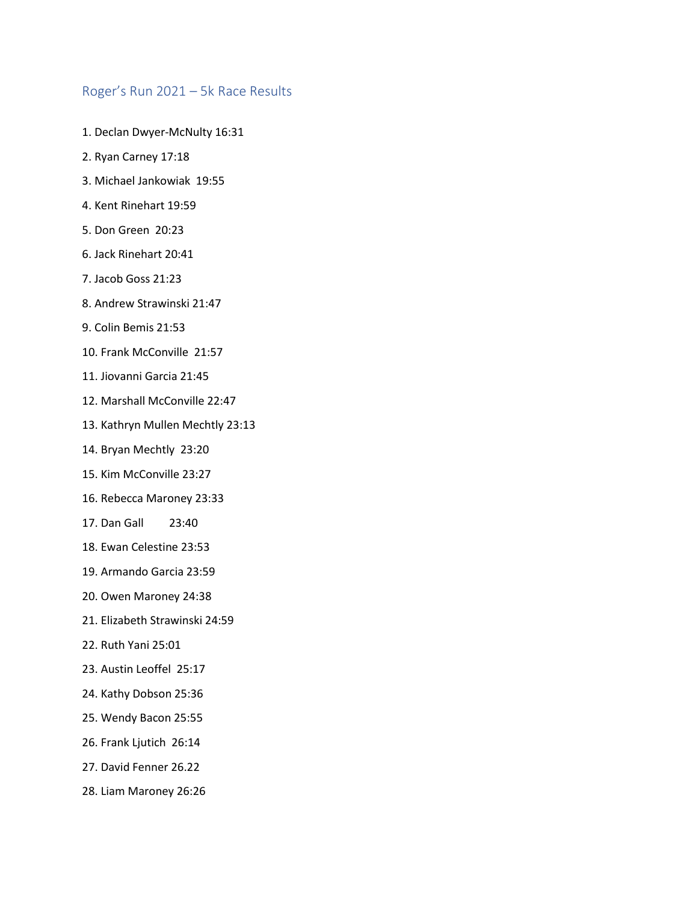## Roger's Run 2021 – 5k Race Results

- 1. Declan Dwyer-McNulty 16:31
- 2. Ryan Carney 17:18
- 3. Michael Jankowiak 19:55
- 4. Kent Rinehart 19:59
- 5. Don Green 20:23
- 6. Jack Rinehart 20:41
- 7. Jacob Goss 21:23
- 8. Andrew Strawinski 21:47
- 9. Colin Bemis 21:53
- 10. Frank McConville 21:57
- 11. Jiovanni Garcia 21:45
- 12. Marshall McConville 22:47
- 13. Kathryn Mullen Mechtly 23:13
- 14. Bryan Mechtly 23:20
- 15. Kim McConville 23:27
- 16. Rebecca Maroney 23:33
- 17. Dan Gall 23:40
- 18. Ewan Celestine 23:53
- 19. Armando Garcia 23:59
- 20. Owen Maroney 24:38
- 21. Elizabeth Strawinski 24:59
- 22. Ruth Yani 25:01
- 23. Austin Leoffel 25:17
- 24. Kathy Dobson 25:36
- 25. Wendy Bacon 25:55
- 26. Frank Ljutich 26:14
- 27. David Fenner 26.22
- 28. Liam Maroney 26:26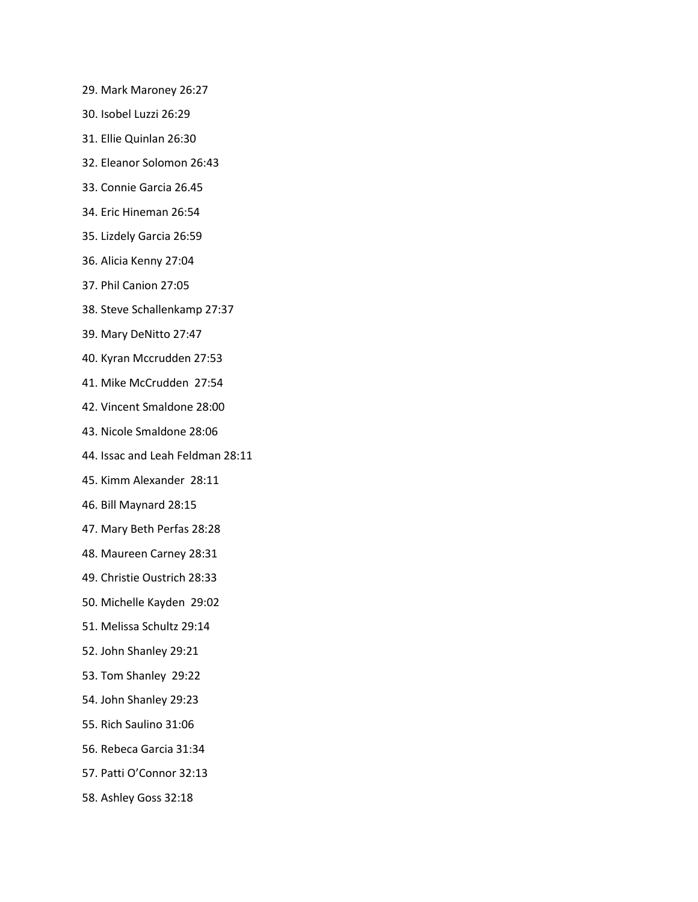- 29. Mark Maroney 26:27
- 30. Isobel Luzzi 26:29
- 31. Ellie Quinlan 26:30
- 32. Eleanor Solomon 26:43
- 33. Connie Garcia 26.45
- 34. Eric Hineman 26:54
- 35. Lizdely Garcia 26:59
- 36. Alicia Kenny 27:04
- 37. Phil Canion 27:05
- 38. Steve Schallenkamp 27:37
- 39. Mary DeNitto 27:47
- 40. Kyran Mccrudden 27:53
- 41. Mike McCrudden 27:54
- 42. Vincent Smaldone 28:00
- 43. Nicole Smaldone 28:06
- 44. Issac and Leah Feldman 28:11
- 45. Kimm Alexander 28:11
- 46. Bill Maynard 28:15
- 47. Mary Beth Perfas 28:28
- 48. Maureen Carney 28:31
- 49. Christie Oustrich 28:33
- 50. Michelle Kayden 29:02
- 51. Melissa Schultz 29:14
- 52. John Shanley 29:21
- 53. Tom Shanley 29:22
- 54. John Shanley 29:23
- 55. Rich Saulino 31:06
- 56. Rebeca Garcia 31:34
- 57. Patti O'Connor 32:13
- 58. Ashley Goss 32:18